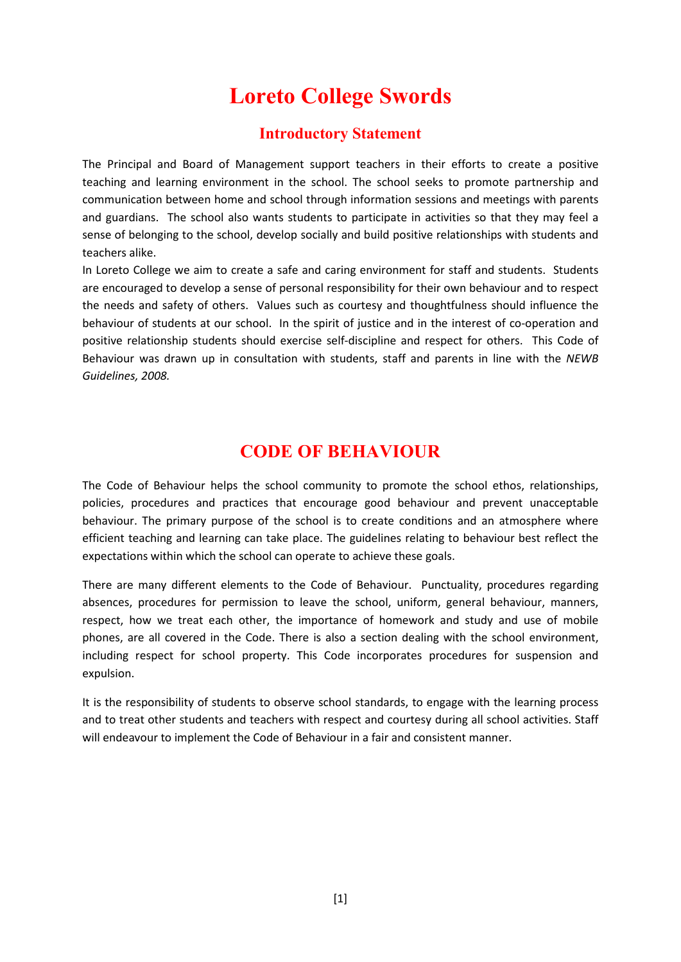# **Loreto College Swords**

# **Introductory Statement**

The Principal and Board of Management support teachers in their efforts to create a positive teaching and learning environment in the school. The school seeks to promote partnership and communication between home and school through information sessions and meetings with parents and guardians. The school also wants students to participate in activities so that they may feel a sense of belonging to the school, develop socially and build positive relationships with students and teachers alike.

In Loreto College we aim to create a safe and caring environment for staff and students. Students are encouraged to develop a sense of personal responsibility for their own behaviour and to respect the needs and safety of others. Values such as courtesy and thoughtfulness should influence the behaviour of students at our school. In the spirit of justice and in the interest of co-operation and positive relationship students should exercise self-discipline and respect for others. This Code of Behaviour was drawn up in consultation with students, staff and parents in line with the *NEWB Guidelines, 2008.* 

# **CODE OF BEHAVIOUR**

The Code of Behaviour helps the school community to promote the school ethos, relationships, policies, procedures and practices that encourage good behaviour and prevent unacceptable behaviour. The primary purpose of the school is to create conditions and an atmosphere where efficient teaching and learning can take place. The guidelines relating to behaviour best reflect the expectations within which the school can operate to achieve these goals.

There are many different elements to the Code of Behaviour. Punctuality, procedures regarding absences, procedures for permission to leave the school, uniform, general behaviour, manners, respect, how we treat each other, the importance of homework and study and use of mobile phones, are all covered in the Code. There is also a section dealing with the school environment, including respect for school property. This Code incorporates procedures for suspension and expulsion.

It is the responsibility of students to observe school standards, to engage with the learning process and to treat other students and teachers with respect and courtesy during all school activities. Staff will endeavour to implement the Code of Behaviour in a fair and consistent manner.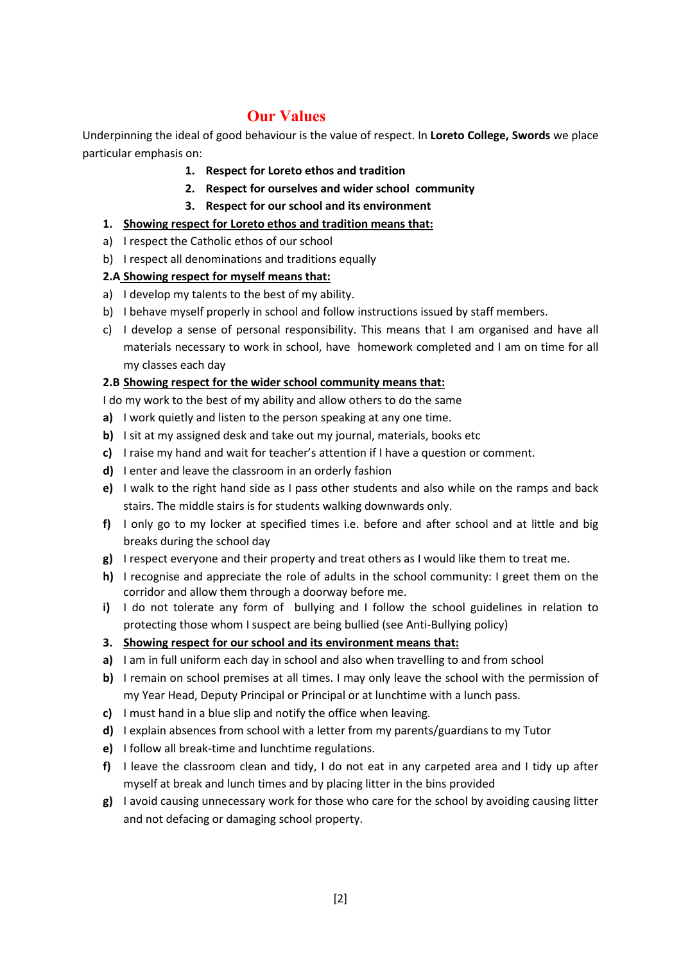# **Our Values**

Underpinning the ideal of good behaviour is the value of respect. In **Loreto College, Swords** we place particular emphasis on:

- **1. Respect for Loreto ethos and tradition**
- **2. Respect for ourselves and wider school community**
- **3. Respect for our school and its environment**

### **1. Showing respect for Loreto ethos and tradition means that:**

- a) I respect the Catholic ethos of our school
- b) I respect all denominations and traditions equally

### **2.A Showing respect for myself means that:**

- a) I develop my talents to the best of my ability.
- b) I behave myself properly in school and follow instructions issued by staff members.
- c) I develop a sense of personal responsibility. This means that I am organised and have all materials necessary to work in school, have homework completed and I am on time for all my classes each day

### **2.B Showing respect for the wider school community means that:**

I do my work to the best of my ability and allow others to do the same

- **a)** I work quietly and listen to the person speaking at any one time.
- **b)** I sit at my assigned desk and take out my journal, materials, books etc
- **c)** I raise my hand and wait for teacher's attention if I have a question or comment.
- **d)** I enter and leave the classroom in an orderly fashion
- **e)** I walk to the right hand side as I pass other students and also while on the ramps and back stairs. The middle stairs is for students walking downwards only.
- **f)** I only go to my locker at specified times i.e. before and after school and at little and big breaks during the school day
- **g)** I respect everyone and their property and treat others as I would like them to treat me.
- **h)** I recognise and appreciate the role of adults in the school community: I greet them on the corridor and allow them through a doorway before me.
- **i)** I do not tolerate any form of bullying and I follow the school guidelines in relation to protecting those whom I suspect are being bullied (see Anti-Bullying policy)
- **3. Showing respect for our school and its environment means that:**
- **a)** I am in full uniform each day in school and also when travelling to and from school
- **b)** I remain on school premises at all times. I may only leave the school with the permission of my Year Head, Deputy Principal or Principal or at lunchtime with a lunch pass.
- **c)** I must hand in a blue slip and notify the office when leaving.
- **d)** I explain absences from school with a letter from my parents/guardians to my Tutor
- **e)** I follow all break-time and lunchtime regulations.
- **f)** I leave the classroom clean and tidy, I do not eat in any carpeted area and I tidy up after myself at break and lunch times and by placing litter in the bins provided
- **g)** I avoid causing unnecessary work for those who care for the school by avoiding causing litter and not defacing or damaging school property.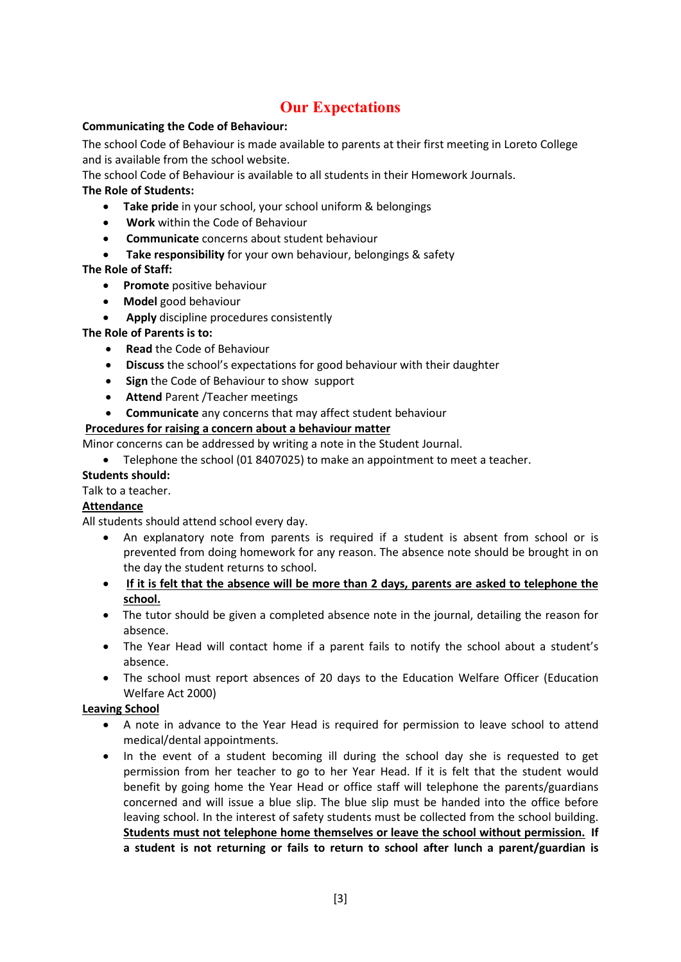# **Our Expectations**

#### **Communicating the Code of Behaviour:**

The school Code of Behaviour is made available to parents at their first meeting in Loreto College and is available from the school website.

The school Code of Behaviour is available to all students in their Homework Journals.

### **The Role of Students:**

- **Take pride** in your school, your school uniform & belongings
- **Work** within the Code of Behaviour
- **Communicate** concerns about student behaviour
- **Take responsibility** for your own behaviour, belongings & safety

#### **The Role of Staff:**

- **Promote** positive behaviour
- **Model** good behaviour
- **Apply** discipline procedures consistently

### **The Role of Parents is to:**

- **Read** the Code of Behaviour
- **Discuss** the school's expectations for good behaviour with their daughter
- **Sign** the Code of Behaviour to show support
- **Attend** Parent /Teacher meetings
- **Communicate** any concerns that may affect student behaviour

### **Procedures for raising a concern about a behaviour matter**

Minor concerns can be addressed by writing a note in the Student Journal.

• Telephone the school (01 8407025) to make an appointment to meet a teacher.

#### **Students should:**

Talk to a teacher.

#### **Attendance**

All students should attend school every day.

- An explanatory note from parents is required if a student is absent from school or is prevented from doing homework for any reason. The absence note should be brought in on the day the student returns to school.
- **If it is felt that the absence will be more than 2 days, parents are asked to telephone the school.**
- The tutor should be given a completed absence note in the journal, detailing the reason for absence.
- The Year Head will contact home if a parent fails to notify the school about a student's absence.
- The school must report absences of 20 days to the Education Welfare Officer (Education Welfare Act 2000)

#### **Leaving School**

- A note in advance to the Year Head is required for permission to leave school to attend medical/dental appointments.
- In the event of a student becoming ill during the school day she is requested to get permission from her teacher to go to her Year Head. If it is felt that the student would benefit by going home the Year Head or office staff will telephone the parents/guardians concerned and will issue a blue slip. The blue slip must be handed into the office before leaving school. In the interest of safety students must be collected from the school building. **Students must not telephone home themselves or leave the school without permission. If a student is not returning or fails to return to school after lunch a parent/guardian is**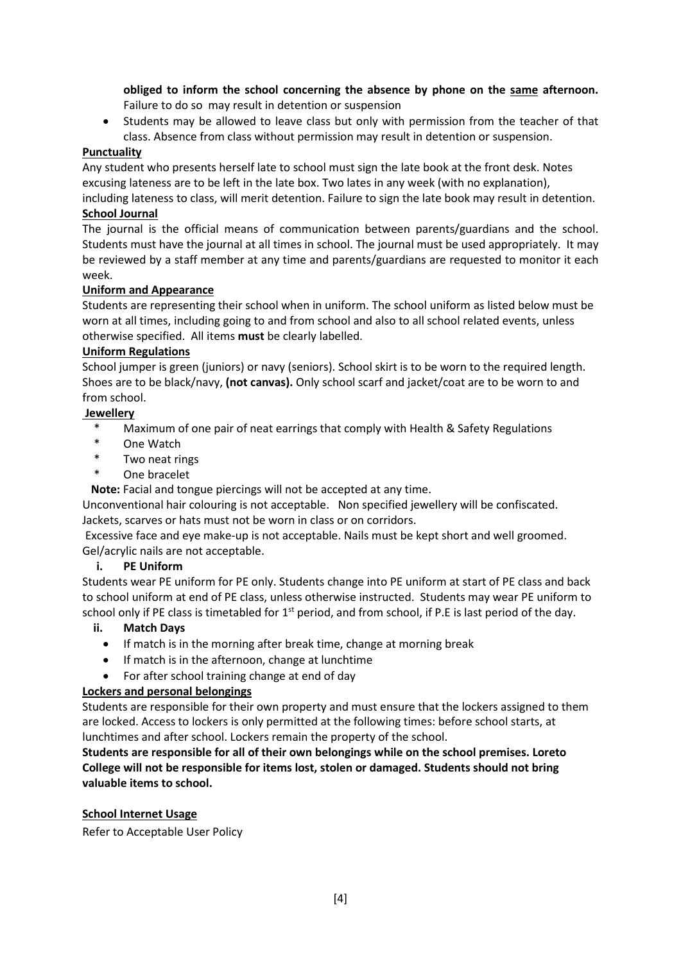**obliged to inform the school concerning the absence by phone on the same afternoon.**  Failure to do so may result in detention or suspension

• Students may be allowed to leave class but only with permission from the teacher of that class. Absence from class without permission may result in detention or suspension.

#### **Punctuality**

Any student who presents herself late to school must sign the late book at the front desk. Notes excusing lateness are to be left in the late box. Two lates in any week (with no explanation),

including lateness to class, will merit detention. Failure to sign the late book may result in detention. **School Journal** 

The journal is the official means of communication between parents/guardians and the school. Students must have the journal at all times in school. The journal must be used appropriately. It may be reviewed by a staff member at any time and parents/guardians are requested to monitor it each week.

#### **Uniform and Appearance**

Students are representing their school when in uniform. The school uniform as listed below must be worn at all times, including going to and from school and also to all school related events, unless otherwise specified. All items **must** be clearly labelled.

#### **Uniform Regulations**

School jumper is green (juniors) or navy (seniors). School skirt is to be worn to the required length. Shoes are to be black/navy, **(not canvas).** Only school scarf and jacket/coat are to be worn to and from school.

#### **Jewellery**

- Maximum of one pair of neat earrings that comply with Health & Safety Regulations
- \* One Watch
- \* Two neat rings
- One bracelet

**Note:** Facial and tongue piercings will not be accepted at any time.

Unconventional hair colouring is not acceptable. Non specified jewellery will be confiscated. Jackets, scarves or hats must not be worn in class or on corridors.

 Excessive face and eye make-up is not acceptable. Nails must be kept short and well groomed. Gel/acrylic nails are not acceptable.

#### **i. PE Uniform**

Students wear PE uniform for PE only. Students change into PE uniform at start of PE class and back to school uniform at end of PE class, unless otherwise instructed. Students may wear PE uniform to school only if PE class is timetabled for 1<sup>st</sup> period, and from school, if P.E is last period of the day.

#### **ii. Match Days**

- If match is in the morning after break time, change at morning break
- If match is in the afternoon, change at lunchtime
- For after school training change at end of day

#### **Lockers and personal belongings**

Students are responsible for their own property and must ensure that the lockers assigned to them are locked. Access to lockers is only permitted at the following times: before school starts, at lunchtimes and after school. Lockers remain the property of the school.

**Students are responsible for all of their own belongings while on the school premises. Loreto College will not be responsible for items lost, stolen or damaged. Students should not bring valuable items to school.** 

#### **School Internet Usage**

Refer to Acceptable User Policy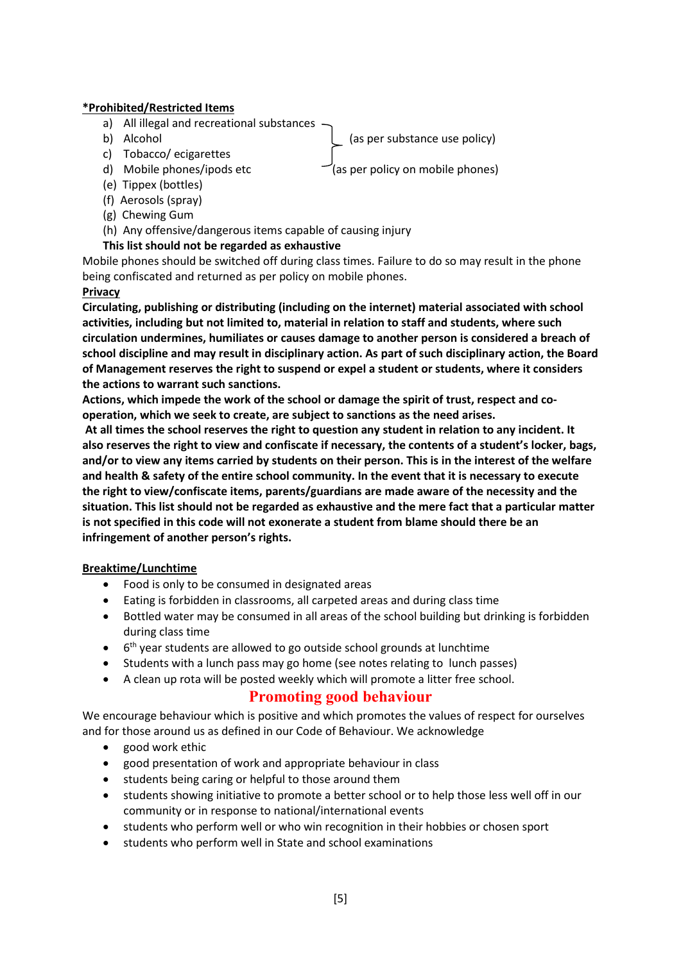#### **\*Prohibited/Restricted Items**

- a) All illegal and recreational substances
- 

b) Alcohol (as per substance use policy)

- c) Tobacco/ ecigarettes
- 
- d) Mobile phones/ipods etc  $\Box$  (as per policy on mobile phones)
- (e) Tippex (bottles)
- (f) Aerosols (spray)
- (g) Chewing Gum
- (h) Any offensive/dangerous items capable of causing injury

### **This list should not be regarded as exhaustive**

Mobile phones should be switched off during class times. Failure to do so may result in the phone being confiscated and returned as per policy on mobile phones.

### **Privacy**

**Circulating, publishing or distributing (including on the internet) material associated with school activities, including but not limited to, material in relation to staff and students, where such circulation undermines, humiliates or causes damage to another person is considered a breach of school discipline and may result in disciplinary action. As part of such disciplinary action, the Board of Management reserves the right to suspend or expel a student or students, where it considers the actions to warrant such sanctions.** 

**Actions, which impede the work of the school or damage the spirit of trust, respect and cooperation, which we seek to create, are subject to sanctions as the need arises.** 

 **At all times the school reserves the right to question any student in relation to any incident. It also reserves the right to view and confiscate if necessary, the contents of a student's locker, bags, and/or to view any items carried by students on their person. This is in the interest of the welfare and health & safety of the entire school community. In the event that it is necessary to execute the right to view/confiscate items, parents/guardians are made aware of the necessity and the situation. This list should not be regarded as exhaustive and the mere fact that a particular matter is not specified in this code will not exonerate a student from blame should there be an infringement of another person's rights.** 

#### **Breaktime/Lunchtime**

- Food is only to be consumed in designated areas
- Eating is forbidden in classrooms, all carpeted areas and during class time
- Bottled water may be consumed in all areas of the school building but drinking is forbidden during class time
- 6<sup>th</sup> year students are allowed to go outside school grounds at lunchtime
- Students with a lunch pass may go home (see notes relating to lunch passes)
	- A clean up rota will be posted weekly which will promote a litter free school.

# **Promoting good behaviour**

We encourage behaviour which is positive and which promotes the values of respect for ourselves and for those around us as defined in our Code of Behaviour. We acknowledge

- good work ethic
- good presentation of work and appropriate behaviour in class
- students being caring or helpful to those around them
- students showing initiative to promote a better school or to help those less well off in our community or in response to national/international events
- students who perform well or who win recognition in their hobbies or chosen sport
- students who perform well in State and school examinations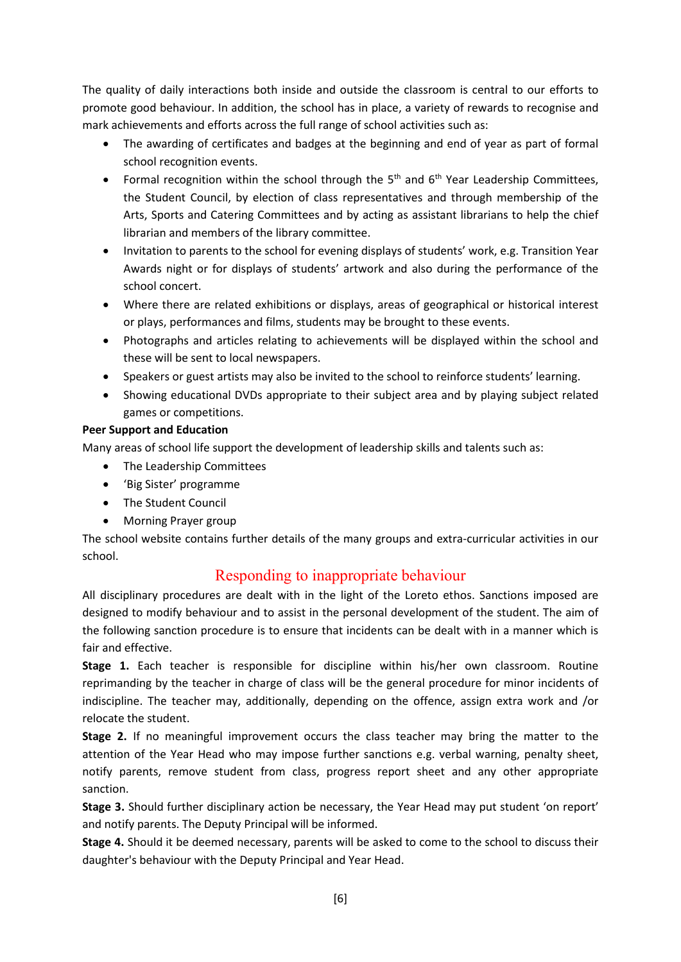The quality of daily interactions both inside and outside the classroom is central to our efforts to promote good behaviour. In addition, the school has in place, a variety of rewards to recognise and mark achievements and efforts across the full range of school activities such as:

- The awarding of certificates and badges at the beginning and end of year as part of formal school recognition events.
- Formal recognition within the school through the  $5<sup>th</sup>$  and  $6<sup>th</sup>$  Year Leadership Committees, the Student Council, by election of class representatives and through membership of the Arts, Sports and Catering Committees and by acting as assistant librarians to help the chief librarian and members of the library committee.
- Invitation to parents to the school for evening displays of students' work, e.g. Transition Year Awards night or for displays of students' artwork and also during the performance of the school concert.
- Where there are related exhibitions or displays, areas of geographical or historical interest or plays, performances and films, students may be brought to these events.
- Photographs and articles relating to achievements will be displayed within the school and these will be sent to local newspapers.
- Speakers or guest artists may also be invited to the school to reinforce students' learning.
- Showing educational DVDs appropriate to their subject area and by playing subject related games or competitions.

### **Peer Support and Education**

Many areas of school life support the development of leadership skills and talents such as:

- The Leadership Committees
- 'Big Sister' programme
- The Student Council
- Morning Prayer group

The school website contains further details of the many groups and extra-curricular activities in our school.

# Responding to inappropriate behaviour

All disciplinary procedures are dealt with in the light of the Loreto ethos. Sanctions imposed are designed to modify behaviour and to assist in the personal development of the student. The aim of the following sanction procedure is to ensure that incidents can be dealt with in a manner which is fair and effective.

**Stage 1.** Each teacher is responsible for discipline within his/her own classroom. Routine reprimanding by the teacher in charge of class will be the general procedure for minor incidents of indiscipline. The teacher may, additionally, depending on the offence, assign extra work and /or relocate the student.

**Stage 2.** If no meaningful improvement occurs the class teacher may bring the matter to the attention of the Year Head who may impose further sanctions e.g. verbal warning, penalty sheet, notify parents, remove student from class, progress report sheet and any other appropriate sanction.

**Stage 3.** Should further disciplinary action be necessary, the Year Head may put student 'on report' and notify parents. The Deputy Principal will be informed.

**Stage 4.** Should it be deemed necessary, parents will be asked to come to the school to discuss their daughter's behaviour with the Deputy Principal and Year Head.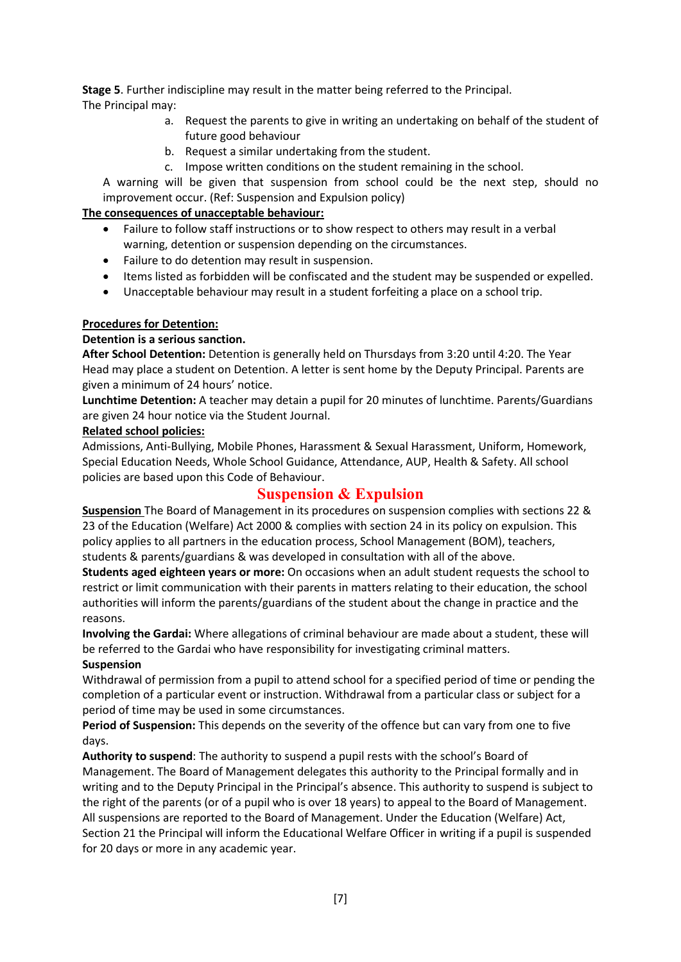**Stage 5**. Further indiscipline may result in the matter being referred to the Principal. The Principal may:

- a. Request the parents to give in writing an undertaking on behalf of the student of future good behaviour
- b. Request a similar undertaking from the student.
- c. Impose written conditions on the student remaining in the school.

A warning will be given that suspension from school could be the next step, should no improvement occur. (Ref: Suspension and Expulsion policy)

#### **The consequences of unacceptable behaviour:**

- Failure to follow staff instructions or to show respect to others may result in a verbal warning, detention or suspension depending on the circumstances.
- Failure to do detention may result in suspension.
- Items listed as forbidden will be confiscated and the student may be suspended or expelled.
- Unacceptable behaviour may result in a student forfeiting a place on a school trip.

### **Procedures for Detention:**

#### **Detention is a serious sanction.**

**After School Detention:** Detention is generally held on Thursdays from 3:20 until 4:20. The Year Head may place a student on Detention. A letter is sent home by the Deputy Principal. Parents are given a minimum of 24 hours' notice.

**Lunchtime Detention:** A teacher may detain a pupil for 20 minutes of lunchtime. Parents/Guardians are given 24 hour notice via the Student Journal.

#### **Related school policies:**

Admissions, Anti-Bullying, Mobile Phones, Harassment & Sexual Harassment, Uniform, Homework, Special Education Needs, Whole School Guidance, Attendance, AUP, Health & Safety. All school policies are based upon this Code of Behaviour.

# **Suspension & Expulsion**

**Suspension** The Board of Management in its procedures on suspension complies with sections 22 & 23 of the Education (Welfare) Act 2000 & complies with section 24 in its policy on expulsion. This policy applies to all partners in the education process, School Management (BOM), teachers, students & parents/guardians & was developed in consultation with all of the above.

**Students aged eighteen years or more:** On occasions when an adult student requests the school to restrict or limit communication with their parents in matters relating to their education, the school authorities will inform the parents/guardians of the student about the change in practice and the reasons.

**Involving the Gardai:** Where allegations of criminal behaviour are made about a student, these will be referred to the Gardai who have responsibility for investigating criminal matters. **Suspension** 

Withdrawal of permission from a pupil to attend school for a specified period of time or pending the completion of a particular event or instruction. Withdrawal from a particular class or subject for a period of time may be used in some circumstances.

**Period of Suspension:** This depends on the severity of the offence but can vary from one to five days.

**Authority to suspend**: The authority to suspend a pupil rests with the school's Board of Management. The Board of Management delegates this authority to the Principal formally and in writing and to the Deputy Principal in the Principal's absence. This authority to suspend is subject to the right of the parents (or of a pupil who is over 18 years) to appeal to the Board of Management. All suspensions are reported to the Board of Management. Under the Education (Welfare) Act, Section 21 the Principal will inform the Educational Welfare Officer in writing if a pupil is suspended for 20 days or more in any academic year.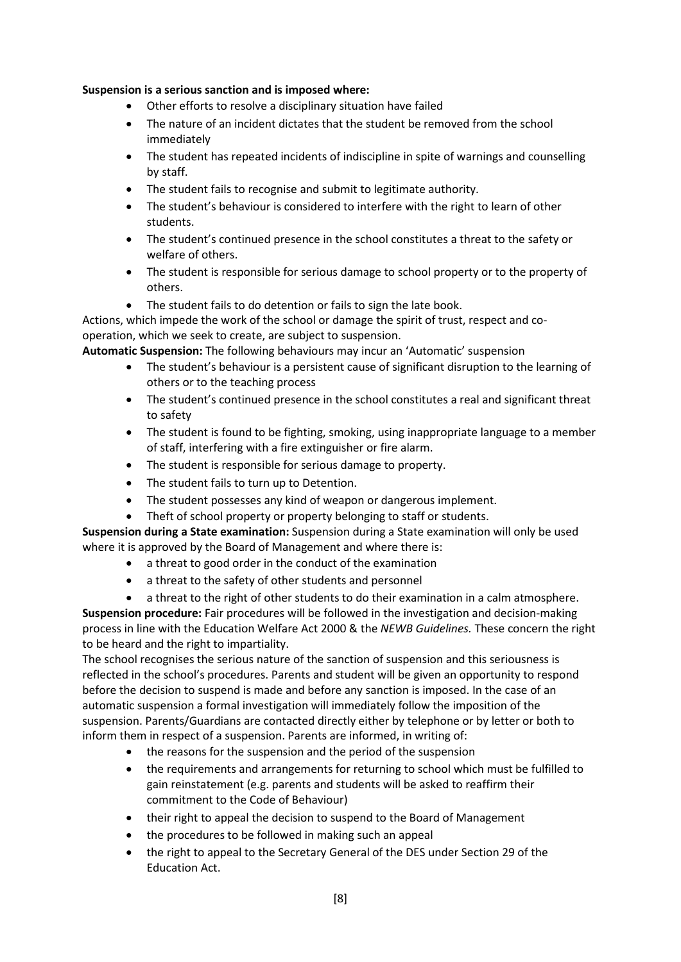#### **Suspension is a serious sanction and is imposed where:**

- Other efforts to resolve a disciplinary situation have failed
- The nature of an incident dictates that the student be removed from the school immediately
- The student has repeated incidents of indiscipline in spite of warnings and counselling by staff.
- The student fails to recognise and submit to legitimate authority.
- The student's behaviour is considered to interfere with the right to learn of other students.
- The student's continued presence in the school constitutes a threat to the safety or welfare of others.
- The student is responsible for serious damage to school property or to the property of others.
- The student fails to do detention or fails to sign the late book.

Actions, which impede the work of the school or damage the spirit of trust, respect and cooperation, which we seek to create, are subject to suspension.

**Automatic Suspension:** The following behaviours may incur an 'Automatic' suspension

- The student's behaviour is a persistent cause of significant disruption to the learning of others or to the teaching process
- The student's continued presence in the school constitutes a real and significant threat to safety
- The student is found to be fighting, smoking, using inappropriate language to a member of staff, interfering with a fire extinguisher or fire alarm.
- The student is responsible for serious damage to property.
- The student fails to turn up to Detention.
- The student possesses any kind of weapon or dangerous implement.
- Theft of school property or property belonging to staff or students.

**Suspension during a State examination:** Suspension during a State examination will only be used where it is approved by the Board of Management and where there is:

- a threat to good order in the conduct of the examination
- a threat to the safety of other students and personnel
- a threat to the right of other students to do their examination in a calm atmosphere.

**Suspension procedure:** Fair procedures will be followed in the investigation and decision-making process in line with the Education Welfare Act 2000 & the *NEWB Guidelines.* These concern the right to be heard and the right to impartiality.

The school recognises the serious nature of the sanction of suspension and this seriousness is reflected in the school's procedures. Parents and student will be given an opportunity to respond before the decision to suspend is made and before any sanction is imposed. In the case of an automatic suspension a formal investigation will immediately follow the imposition of the suspension. Parents/Guardians are contacted directly either by telephone or by letter or both to inform them in respect of a suspension. Parents are informed, in writing of:

- the reasons for the suspension and the period of the suspension
- the requirements and arrangements for returning to school which must be fulfilled to gain reinstatement (e.g. parents and students will be asked to reaffirm their commitment to the Code of Behaviour)
- their right to appeal the decision to suspend to the Board of Management
- the procedures to be followed in making such an appeal
- the right to appeal to the Secretary General of the DES under Section 29 of the Education Act.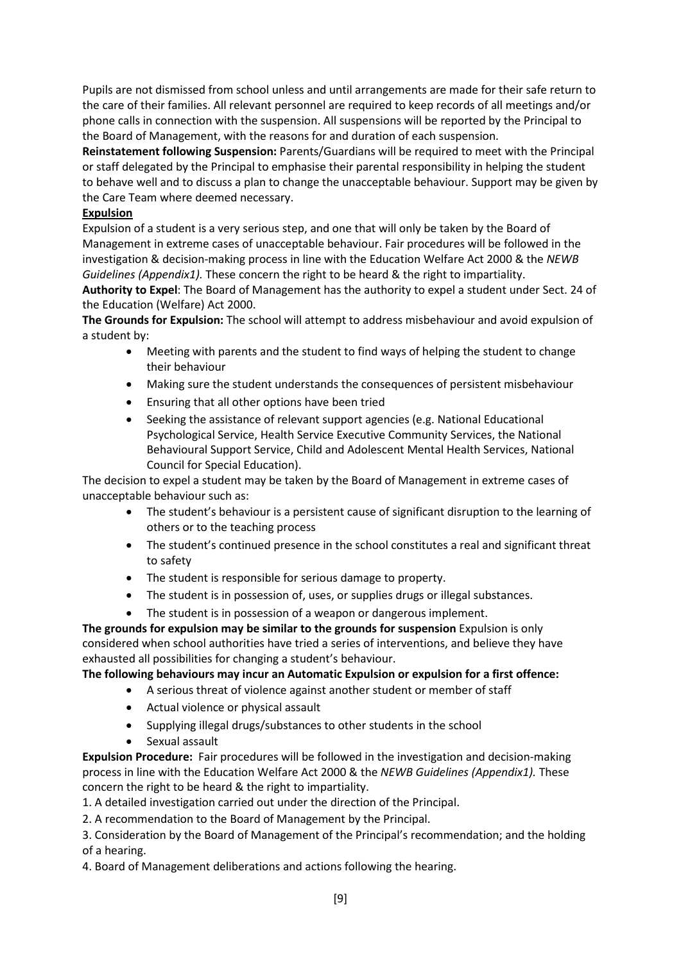Pupils are not dismissed from school unless and until arrangements are made for their safe return to the care of their families. All relevant personnel are required to keep records of all meetings and/or phone calls in connection with the suspension. All suspensions will be reported by the Principal to the Board of Management, with the reasons for and duration of each suspension.

**Reinstatement following Suspension:** Parents/Guardians will be required to meet with the Principal or staff delegated by the Principal to emphasise their parental responsibility in helping the student to behave well and to discuss a plan to change the unacceptable behaviour. Support may be given by the Care Team where deemed necessary.

#### **Expulsion**

Expulsion of a student is a very serious step, and one that will only be taken by the Board of Management in extreme cases of unacceptable behaviour. Fair procedures will be followed in the investigation & decision-making process in line with the Education Welfare Act 2000 & the *NEWB Guidelines (Appendix1).* These concern the right to be heard & the right to impartiality.

**Authority to Expel**: The Board of Management has the authority to expel a student under Sect. 24 of the Education (Welfare) Act 2000.

**The Grounds for Expulsion:** The school will attempt to address misbehaviour and avoid expulsion of a student by:

- Meeting with parents and the student to find ways of helping the student to change their behaviour
- Making sure the student understands the consequences of persistent misbehaviour
- Ensuring that all other options have been tried
- Seeking the assistance of relevant support agencies (e.g. National Educational Psychological Service, Health Service Executive Community Services, the National Behavioural Support Service, Child and Adolescent Mental Health Services, National Council for Special Education).

The decision to expel a student may be taken by the Board of Management in extreme cases of unacceptable behaviour such as:

- The student's behaviour is a persistent cause of significant disruption to the learning of others or to the teaching process
- The student's continued presence in the school constitutes a real and significant threat to safety
- The student is responsible for serious damage to property.
- The student is in possession of, uses, or supplies drugs or illegal substances.
- The student is in possession of a weapon or dangerous implement.

**The grounds for expulsion may be similar to the grounds for suspension** Expulsion is only considered when school authorities have tried a series of interventions, and believe they have exhausted all possibilities for changing a student's behaviour.

#### **The following behaviours may incur an Automatic Expulsion or expulsion for a first offence:**

- A serious threat of violence against another student or member of staff
- Actual violence or physical assault
- Supplying illegal drugs/substances to other students in the school
- Sexual assault

**Expulsion Procedure:** Fair procedures will be followed in the investigation and decision-making process in line with the Education Welfare Act 2000 & the *NEWB Guidelines (Appendix1).* These concern the right to be heard & the right to impartiality.

1. A detailed investigation carried out under the direction of the Principal.

2. A recommendation to the Board of Management by the Principal.

3. Consideration by the Board of Management of the Principal's recommendation; and the holding of a hearing.

4. Board of Management deliberations and actions following the hearing.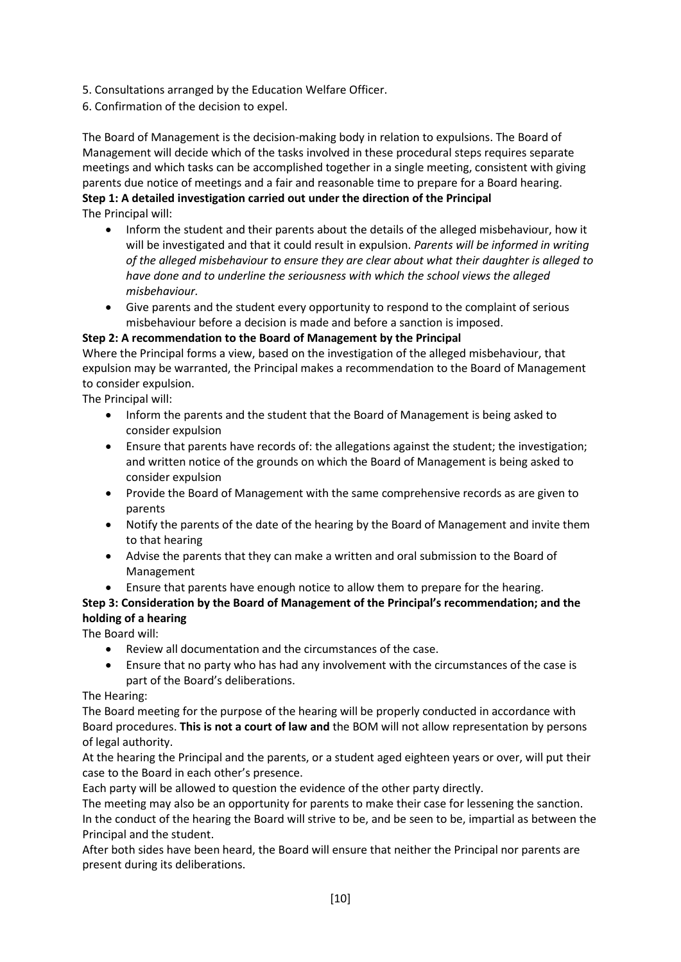- 5. Consultations arranged by the Education Welfare Officer.
- 6. Confirmation of the decision to expel.

The Board of Management is the decision-making body in relation to expulsions. The Board of Management will decide which of the tasks involved in these procedural steps requires separate meetings and which tasks can be accomplished together in a single meeting, consistent with giving parents due notice of meetings and a fair and reasonable time to prepare for a Board hearing. **Step 1: A detailed investigation carried out under the direction of the Principal**  The Principal will:

- Inform the student and their parents about the details of the alleged misbehaviour, how it will be investigated and that it could result in expulsion. *Parents will be informed in writing of the alleged misbehaviour to ensure they are clear about what their daughter is alleged to have done and to underline the seriousness with which the school views the alleged misbehaviour.*
- Give parents and the student every opportunity to respond to the complaint of serious misbehaviour before a decision is made and before a sanction is imposed.

#### **Step 2: A recommendation to the Board of Management by the Principal**

Where the Principal forms a view, based on the investigation of the alleged misbehaviour, that expulsion may be warranted, the Principal makes a recommendation to the Board of Management to consider expulsion.

The Principal will:

- Inform the parents and the student that the Board of Management is being asked to consider expulsion
- Ensure that parents have records of: the allegations against the student; the investigation; and written notice of the grounds on which the Board of Management is being asked to consider expulsion
- Provide the Board of Management with the same comprehensive records as are given to parents
- Notify the parents of the date of the hearing by the Board of Management and invite them to that hearing
- Advise the parents that they can make a written and oral submission to the Board of Management
- Ensure that parents have enough notice to allow them to prepare for the hearing.

### **Step 3: Consideration by the Board of Management of the Principal's recommendation; and the holding of a hearing**

The Board will:

- Review all documentation and the circumstances of the case.
- Ensure that no party who has had any involvement with the circumstances of the case is part of the Board's deliberations.

The Hearing:

The Board meeting for the purpose of the hearing will be properly conducted in accordance with Board procedures. **This is not a court of law and** the BOM will not allow representation by persons of legal authority.

At the hearing the Principal and the parents, or a student aged eighteen years or over, will put their case to the Board in each other's presence.

Each party will be allowed to question the evidence of the other party directly.

The meeting may also be an opportunity for parents to make their case for lessening the sanction. In the conduct of the hearing the Board will strive to be, and be seen to be, impartial as between the Principal and the student.

After both sides have been heard, the Board will ensure that neither the Principal nor parents are present during its deliberations.